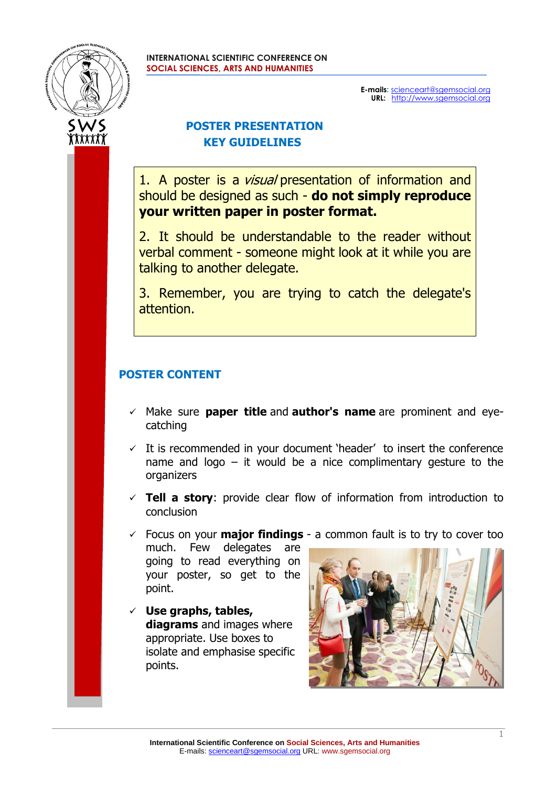

**E-mails:** [scienceart@sgemsocial.org](mailto:scienceart@sgemsocial.org) **URL:** http://www.sgemsocial.org

## **POSTER PRESENTATION KEY GUIDELINES**

1. A poster is a *visual* presentation of information and should be designed as such - **do not simply reproduce your written paper in poster format.**

2. It should be understandable to the reader without verbal comment - someone might look at it while you are talking to another delegate.

3. Remember, you are trying to catch the delegate's attention.

# **POSTER CONTENT**

- ✓ Make sure **paper title** and **author's name** are prominent and eyecatching
- $\checkmark$  It is recommended in your document 'header' to insert the conference name and  $logo - it$  would be a nice complimentary gesture to the organizers
- ✓ **Tell a story**: provide clear flow of information from introduction to conclusion

✓ Focus on your **major findings** - a common fault is to try to cover too

much. Few delegates are going to read everything on your poster, so get to the point.

✓ **Use graphs, tables, diagrams** and images where appropriate. Use boxes to isolate and emphasise specific points.

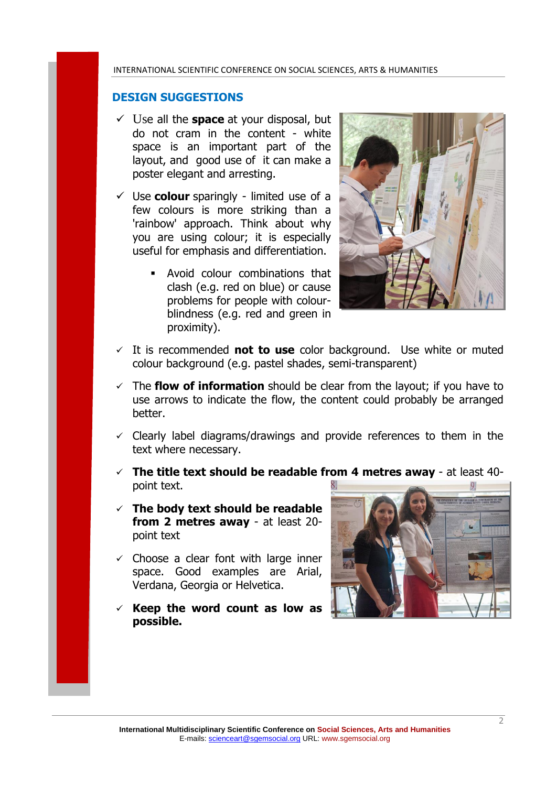#### **DESIGN SUGGESTIONS**

- ✓ Use all the **space** at your disposal, but do not cram in the content - white space is an important part of the layout, and good use of it can make a poster elegant and arresting.
- $\checkmark$  Use **colour** sparingly limited use of a few colours is more striking than a 'rainbow' approach. Think about why you are using colour; it is especially useful for emphasis and differentiation.
	- Avoid colour combinations that clash (e.g. red on blue) or cause problems for people with colourblindness (e.g. red and green in proximity).



- ✓ It is recommended **not to use** color background. Use white or muted colour background (e.g. pastel shades, semi-transparent)
- ✓ The **flow of information** should be clear from the layout; if you have to use arrows to indicate the flow, the content could probably be arranged better.
- $\checkmark$  Clearly label diagrams/drawings and provide references to them in the text where necessary.
- ✓ **The title text should be readable from 4 metres away**  at least 40 point text.
- ✓ **The body text should be readable from 2 metres away** - at least 20 point text
- $\checkmark$  Choose a clear font with large inner space. Good examples are Arial, Verdana, Georgia or Helvetica.
- ✓ **Keep the word count as low as possible.**



2